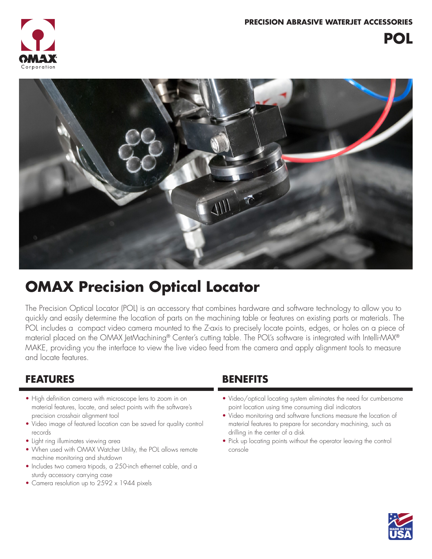



## **OMAX Precision Optical Locator**

The Precision Optical Locator (POL) is an accessory that combines hardware and software technology to allow you to quickly and easily determine the location of parts on the machining table or features on existing parts or materials. The POL includes a compact video camera mounted to the Z-axis to precisely locate points, edges, or holes on a piece of material placed on the OMAX JetMachining® Center's cutting table. The POL's software is integrated with Intelli-MAX® MAKE, providing you the interface to view the live video feed from the camera and apply alignment tools to measure and locate features.

### **FEATURES BENEFITS**

- High definition camera with microscope lens to zoom in on material features, locate, and select points with the software's precision crosshair alignment tool
- Video image of featured location can be saved for quality control records
- Light ring illuminates viewing area
- When used with OMAX Watcher Utility, the POL allows remote machine monitoring and shutdown
- Includes two camera tripods, a 250-inch ethernet cable, and a sturdy accessory carrying case
- Camera resolution up to 2592 x 1944 pixels

- Video/optical locating system eliminates the need for cumbersome point location using time consuming dial indicators
- Video monitoring and software functions measure the location of material features to prepare for secondary machining, such as drilling in the center of a disk
- Pick up locating points without the operator leaving the control console